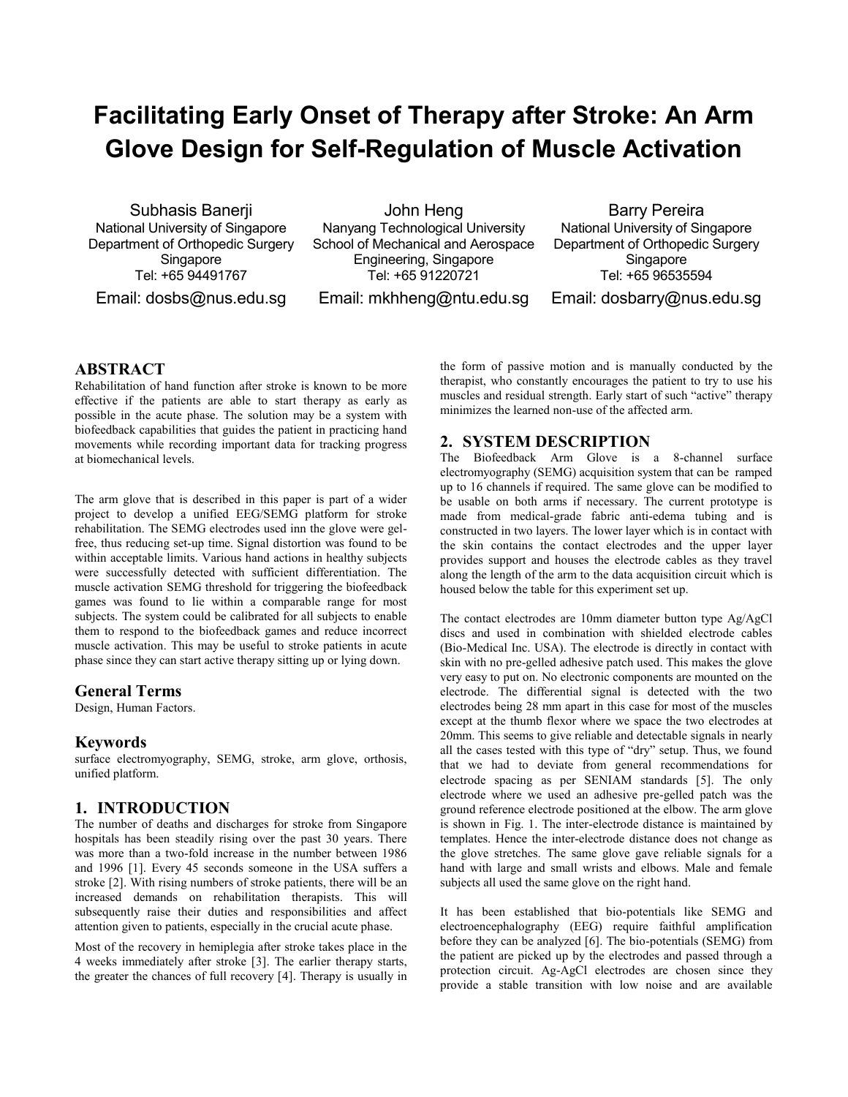# **Facilitating Early Onset of Therapy after Stroke: An Arm Glove Design for Self-Regulation of Muscle Activation**

Subhasis Banerji National University of Singapore Department of Orthopedic Surgery Singapore Tel: +65 94491767

Email: dosbs@nus.edu.sg

John Heng Nanyang Technological University School of Mechanical and Aerospace Engineering, Singapore Tel: +65 91220721

Email: mkhheng@ntu.edu.sg

Barry Pereira National University of Singapore Department of Orthopedic Surgery Singapore Tel: +65 96535594

Email: dosbarry@nus.edu.sg

## **ABSTRACT**

Rehabilitation of hand function after stroke is known to be more effective if the patients are able to start therapy as early as possible in the acute phase. The solution may be a system with biofeedback capabilities that guides the patient in practicing hand movements while recording important data for tracking progress at biomechanical levels.

The arm glove that is described in this paper is part of a wider project to develop a unified EEG/SEMG platform for stroke rehabilitation. The SEMG electrodes used inn the glove were gelfree, thus reducing set-up time. Signal distortion was found to be within acceptable limits. Various hand actions in healthy subjects were successfully detected with sufficient differentiation. The muscle activation SEMG threshold for triggering the biofeedback games was found to lie within a comparable range for most subjects. The system could be calibrated for all subjects to enable them to respond to the biofeedback games and reduce incorrect muscle activation. This may be useful to stroke patients in acute phase since they can start active therapy sitting up or lying down.

#### **General Terms**

Design, Human Factors.

## **Keywords**

surface electromyography, SEMG, stroke, arm glove, orthosis, unified platform.

# **1. INTRODUCTION**

The number of deaths and discharges for stroke from Singapore hospitals has been steadily rising over the past 30 years. There was more than a two-fold increase in the number between 1986 and 1996 [1]. Every 45 seconds someone in the USA suffers a stroke [2]. With rising numbers of stroke patients, there will be an increased demands on rehabilitation therapists. This will subsequently raise their duties and responsibilities and affect attention given to patients, especially in the crucial acute phase.

Most of the recovery in hemiplegia after stroke takes place in the 4 weeks immediately after stroke [3]. The earlier therapy starts, the greater the chances of full recovery [4]. Therapy is usually in

the form of passive motion and is manually conducted by the therapist, who constantly encourages the patient to try to use his muscles and residual strength. Early start of such "active" therapy minimizes the learned non-use of the affected arm.

# **2. SYSTEM DESCRIPTION**

The Biofeedback Arm Glove is a 8-channel surface electromyography (SEMG) acquisition system that can be ramped up to 16 channels if required. The same glove can be modified to be usable on both arms if necessary. The current prototype is made from medical-grade fabric anti-edema tubing and is constructed in two layers. The lower layer which is in contact with the skin contains the contact electrodes and the upper layer provides support and houses the electrode cables as they travel along the length of the arm to the data acquisition circuit which is housed below the table for this experiment set up.

The contact electrodes are 10mm diameter button type Ag/AgCl discs and used in combination with shielded electrode cables (Bio-Medical Inc. USA). The electrode is directly in contact with skin with no pre-gelled adhesive patch used. This makes the glove very easy to put on. No electronic components are mounted on the electrode. The differential signal is detected with the two electrodes being 28 mm apart in this case for most of the muscles except at the thumb flexor where we space the two electrodes at 20mm. This seems to give reliable and detectable signals in nearly all the cases tested with this type of "dry" setup. Thus, we found that we had to deviate from general recommendations for electrode spacing as per SENIAM standards [5]. The only electrode where we used an adhesive pre-gelled patch was the ground reference electrode positioned at the elbow. The arm glove is shown in Fig. 1. The inter-electrode distance is maintained by templates. Hence the inter-electrode distance does not change as the glove stretches. The same glove gave reliable signals for a hand with large and small wrists and elbows. Male and female subjects all used the same glove on the right hand.

It has been established that bio-potentials like SEMG and electroencephalography (EEG) require faithful amplification before they can be analyzed [6]. The bio-potentials (SEMG) from the patient are picked up by the electrodes and passed through a protection circuit. Ag-AgCl electrodes are chosen since they provide a stable transition with low noise and are available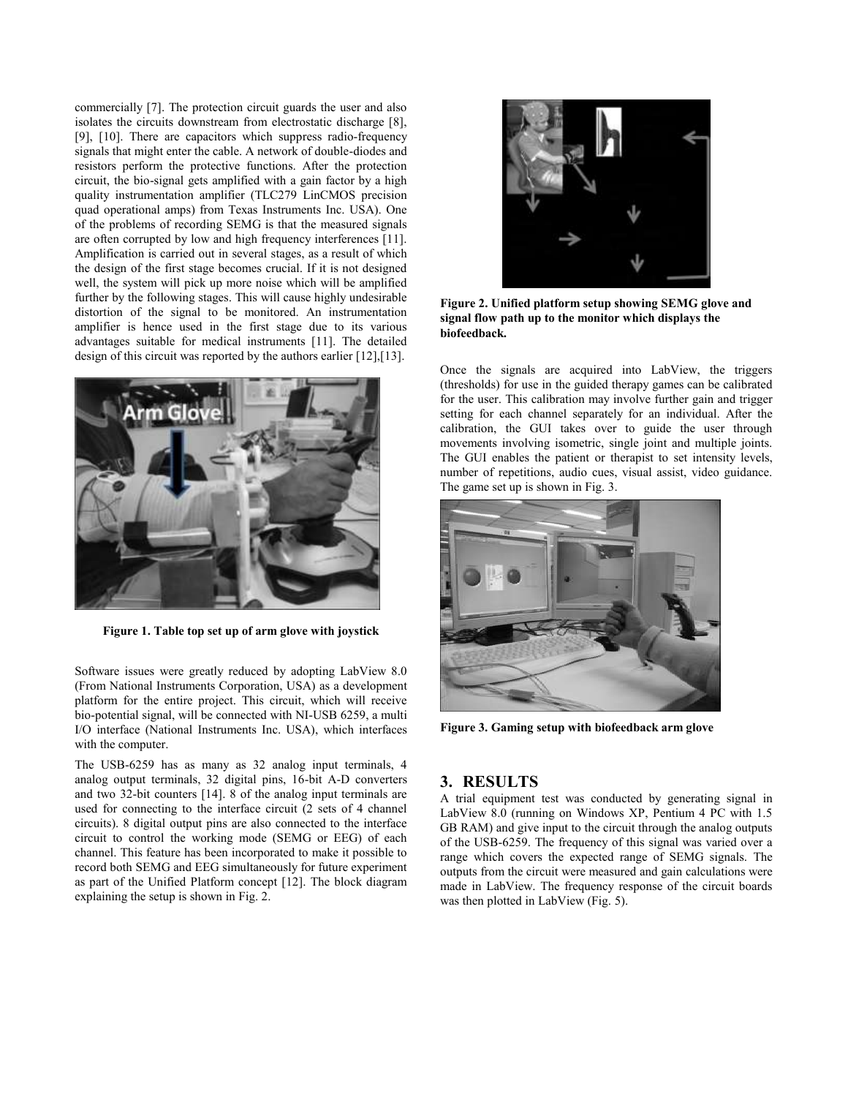commercially [7]. The protection circuit guards the user and also isolates the circuits downstream from electrostatic discharge [8], [9], [10]. There are capacitors which suppress radio-frequency signals that might enter the cable. A network of double-diodes and resistors perform the protective functions. After the protection circuit, the bio-signal gets amplified with a gain factor by a high quality instrumentation amplifier (TLC279 LinCMOS precision quad operational amps) from Texas Instruments Inc. USA). One of the problems of recording SEMG is that the measured signals are often corrupted by low and high frequency interferences [11]. Amplification is carried out in several stages, as a result of which the design of the first stage becomes crucial. If it is not designed well, the system will pick up more noise which will be amplified further by the following stages. This will cause highly undesirable distortion of the signal to be monitored. An instrumentation amplifier is hence used in the first stage due to its various advantages suitable for medical instruments [11]. The detailed design of this circuit was reported by the authors earlier [12],[13].



**Figure 1. Table top set up of arm glove with joystick**

Software issues were greatly reduced by adopting LabView 8.0 (From National Instruments Corporation, USA) as a development platform for the entire project. This circuit, which will receive bio-potential signal, will be connected with NI-USB 6259, a multi I/O interface (National Instruments Inc. USA), which interfaces with the computer.

The USB-6259 has as many as 32 analog input terminals, 4 analog output terminals, 32 digital pins, 16-bit A-D converters and two 32-bit counters [14]. 8 of the analog input terminals are used for connecting to the interface circuit (2 sets of 4 channel circuits). 8 digital output pins are also connected to the interface circuit to control the working mode (SEMG or EEG) of each channel. This feature has been incorporated to make it possible to record both SEMG and EEG simultaneously for future experiment as part of the Unified Platform concept [12]. The block diagram explaining the setup is shown in Fig. 2.



**Figure 2. Unified platform setup showing SEMG glove and signal flow path up to the monitor which displays the biofeedback.**

Once the signals are acquired into LabView, the triggers (thresholds) for use in the guided therapy games can be calibrated for the user. This calibration may involve further gain and trigger setting for each channel separately for an individual. After the calibration, the GUI takes over to guide the user through movements involving isometric, single joint and multiple joints. The GUI enables the patient or therapist to set intensity levels, number of repetitions, audio cues, visual assist, video guidance. The game set up is shown in Fig. 3.



**Figure 3. Gaming setup with biofeedback arm glove**

## **3. RESULTS**

A trial equipment test was conducted by generating signal in LabView 8.0 (running on Windows XP, Pentium 4 PC with 1.5 GB RAM) and give input to the circuit through the analog outputs of the USB-6259. The frequency of this signal was varied over a range which covers the expected range of SEMG signals. The outputs from the circuit were measured and gain calculations were made in LabView. The frequency response of the circuit boards was then plotted in LabView (Fig. 5).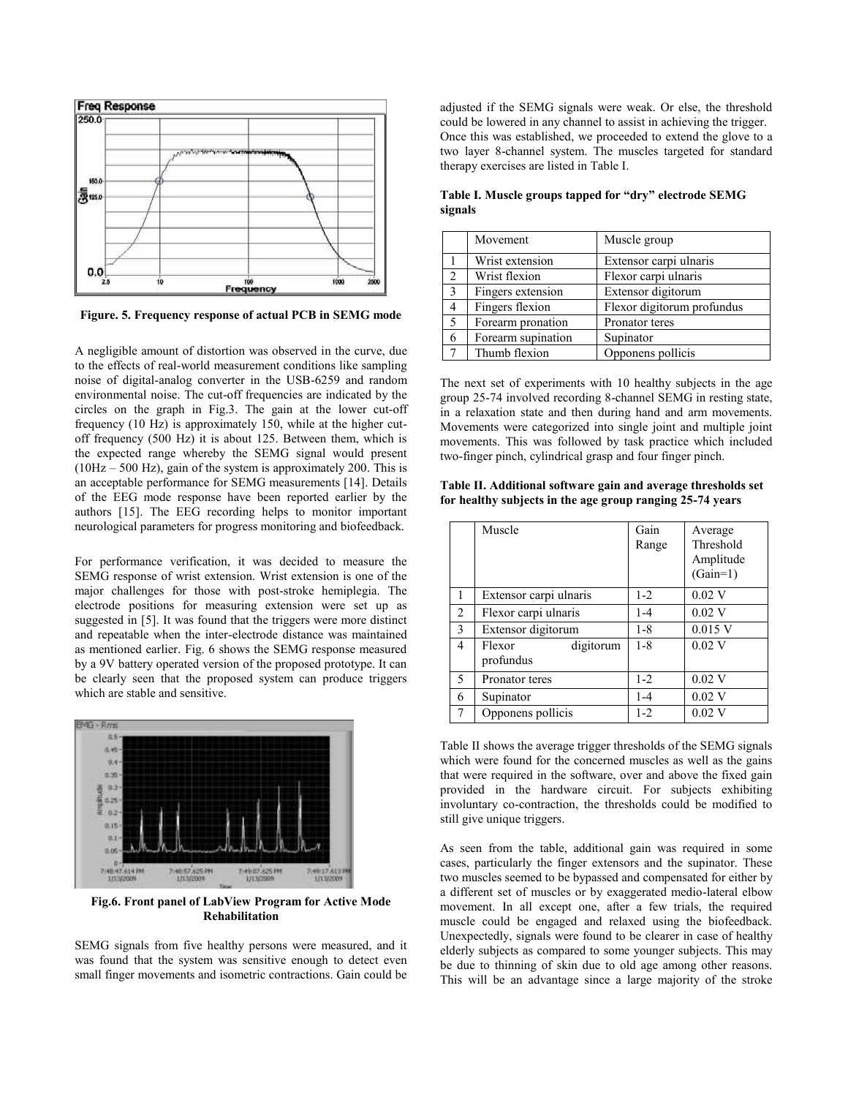

**Figure. 5. Frequency response of actual PCB in SEMG mode**

A negligible amount of distortion was observed in the curve, due to the effects of real-world measurement conditions like sampling noise of digital-analog converter in the USB-6259 and random environmental noise. The cut-off frequencies are indicated by the circles on the graph in Fig.3. The gain at the lower cut-off frequency (10 Hz) is approximately 150, while at the higher cutoff frequency (500 Hz) it is about 125. Between them, which is the expected range whereby the SEMG signal would present (10Hz – 500 Hz), gain of the system is approximately 200. This is an acceptable performance for SEMG measurements [14]. Details of the EEG mode response have been reported earlier by the authors [15]. The EEG recording helps to monitor important neurological parameters for progress monitoring and biofeedback.

For performance verification, it was decided to measure the SEMG response of wrist extension. Wrist extension is one of the major challenges for those with post-stroke hemiplegia. The electrode positions for measuring extension were set up as suggested in [5]. It was found that the triggers were more distinct and repeatable when the inter-electrode distance was maintained as mentioned earlier. Fig. 6 shows the SEMG response measured by a 9V battery operated version of the proposed prototype. It can be clearly seen that the proposed system can produce triggers which are stable and sensitive.



**Fig.6. Front panel of LabView Program for Active Mode Rehabilitation**

SEMG signals from five healthy persons were measured, and it was found that the system was sensitive enough to detect even small finger movements and isometric contractions. Gain could be

adjusted if the SEMG signals were weak. Or else, the threshold could be lowered in any channel to assist in achieving the trigger. Once this was established, we proceeded to extend the glove to a two layer 8-channel system. The muscles targeted for standard therapy exercises are listed in Table I.

**Table I. Muscle groups tapped for "dry" electrode SEMG signals**

|   | Movement           | Muscle group               |  |
|---|--------------------|----------------------------|--|
|   | Wrist extension    | Extensor carpi ulnaris     |  |
| 2 | Wrist flexion      | Flexor carpi ulnaris       |  |
| 3 | Fingers extension  | Extensor digitorum         |  |
| 4 | Fingers flexion    | Flexor digitorum profundus |  |
|   | Forearm pronation  | Pronator teres             |  |
| 6 | Forearm supination | Supinator                  |  |
|   | Thumb flexion      | Opponens pollicis          |  |

The next set of experiments with 10 healthy subjects in the age group 25-74 involved recording 8-channel SEMG in resting state, in a relaxation state and then during hand and arm movements. Movements were categorized into single joint and multiple joint movements. This was followed by task practice which included two-finger pinch, cylindrical grasp and four finger pinch.

| Table II. Additional software gain and average thresholds set |
|---------------------------------------------------------------|
| for healthy subjects in the age group ranging 25-74 years     |

|                | Muscle                           | Gain<br>Range | Average<br>Threshold<br>Amplitude<br>$(Gain=1)$ |
|----------------|----------------------------------|---------------|-------------------------------------------------|
| 1              | Extensor carpi ulnaris           | $1 - 2$       | $0.02$ V                                        |
| $\overline{c}$ | Flexor carpi ulnaris             | $1 - 4$       | $0.02$ V                                        |
| 3              | Extensor digitorum               | $1 - 8$       | $0.015$ V                                       |
| 4              | digitorum<br>Flexor<br>profundus | $1 - 8$       | $0.02$ V                                        |
| 5              | Pronator teres                   | $1 - 2$       | $0.02$ V                                        |
| 6              | Supinator                        | $1 - 4$       | $0.02$ V                                        |
|                | Opponens pollicis                | $1 - 2$       | $0.02$ V                                        |

Table II shows the average trigger thresholds of the SEMG signals which were found for the concerned muscles as well as the gains that were required in the software, over and above the fixed gain provided in the hardware circuit. For subjects exhibiting involuntary co-contraction, the thresholds could be modified to still give unique triggers.

As seen from the table, additional gain was required in some cases, particularly the finger extensors and the supinator. These two muscles seemed to be bypassed and compensated for either by a different set of muscles or by exaggerated medio-lateral elbow movement. In all except one, after a few trials, the required muscle could be engaged and relaxed using the biofeedback. Unexpectedly, signals were found to be clearer in case of healthy elderly subjects as compared to some younger subjects. This may be due to thinning of skin due to old age among other reasons. This will be an advantage since a large majority of the stroke